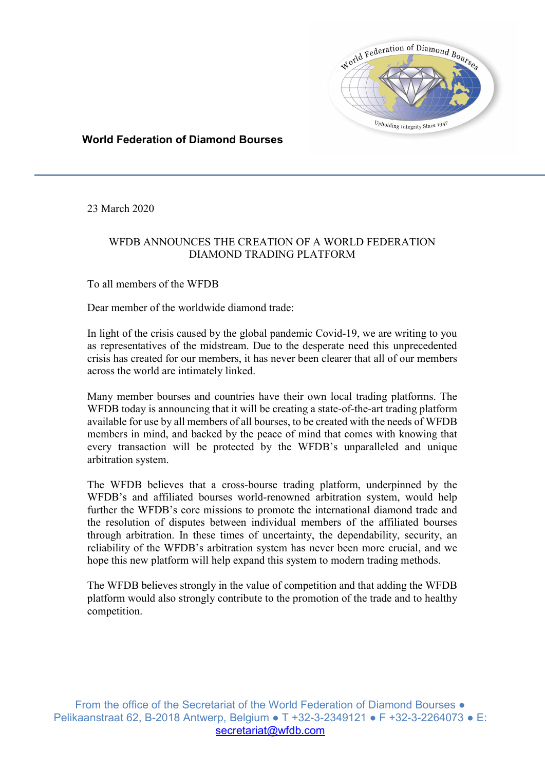

## World Federation of Diamond Bourses

23 March 2020

## WFDB ANNOUNCES THE CREATION OF A WORLD FEDERATION DIAMOND TRADING PLATFORM

To all members of the WFDB

Dear member of the worldwide diamond trade:

In light of the crisis caused by the global pandemic Covid-19, we are writing to you as representatives of the midstream. Due to the desperate need this unprecedented crisis has created for our members, it has never been clearer that all of our members across the world are intimately linked.

Many member bourses and countries have their own local trading platforms. The WFDB today is announcing that it will be creating a state-of-the-art trading platform available for use by all members of all bourses, to be created with the needs of WFDB members in mind, and backed by the peace of mind that comes with knowing that every transaction will be protected by the WFDB's unparalleled and unique arbitration system.

The WFDB believes that a cross-bourse trading platform, underpinned by the WFDB's and affiliated bourses world-renowned arbitration system, would help further the WFDB's core missions to promote the international diamond trade and the resolution of disputes between individual members of the affiliated bourses through arbitration. In these times of uncertainty, the dependability, security, an reliability of the WFDB's arbitration system has never been more crucial, and we hope this new platform will help expand this system to modern trading methods.

The WFDB believes strongly in the value of competition and that adding the WFDB platform would also strongly contribute to the promotion of the trade and to healthy competition.